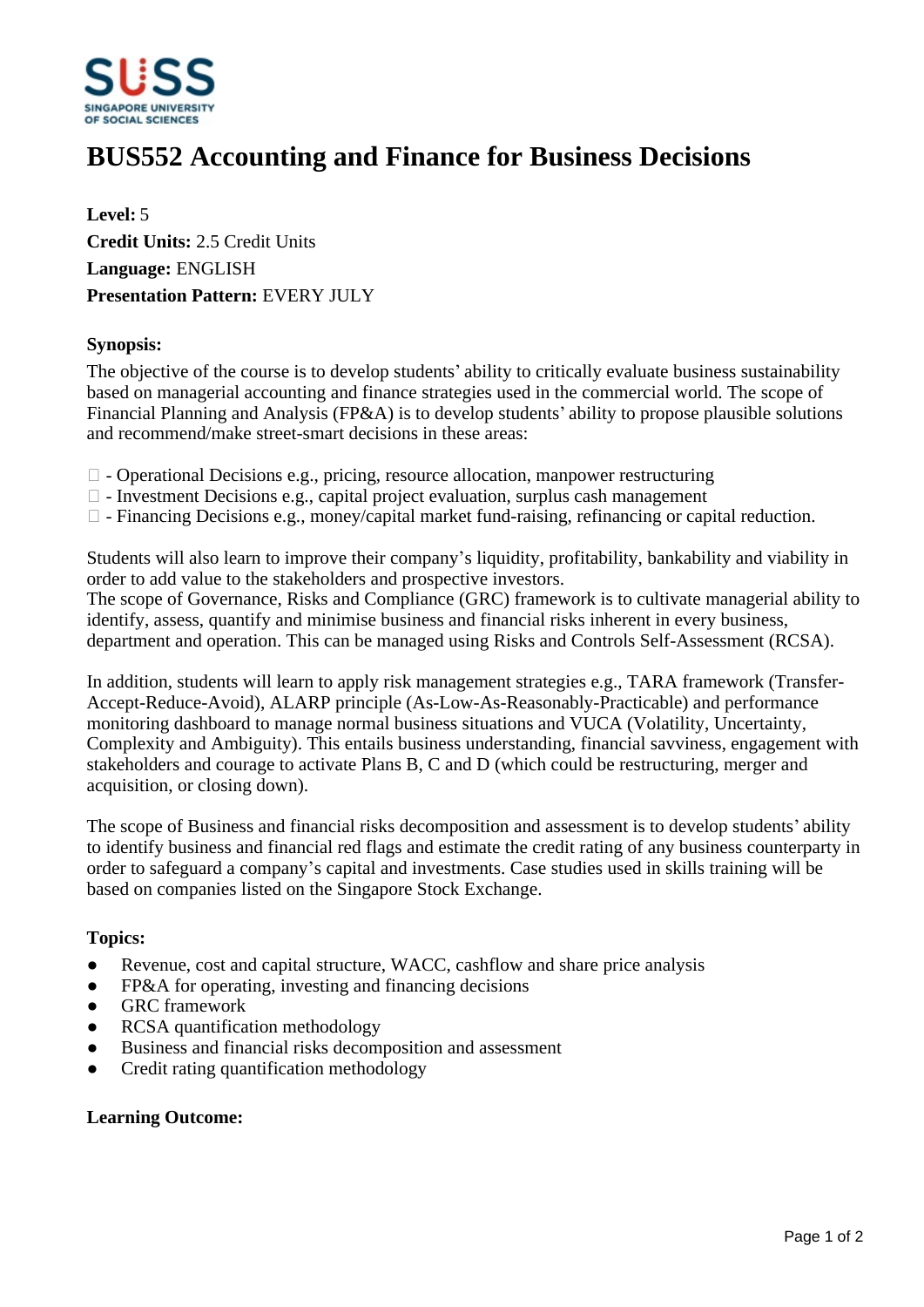

# **BUS552 Accounting and Finance for Business Decisions**

**Level:** 5 **Credit Units:** 2.5 Credit Units **Language:** ENGLISH **Presentation Pattern:** EVERY JULY

#### **Synopsis:**

The objective of the course is to develop students' ability to critically evaluate business sustainability based on managerial accounting and finance strategies used in the commercial world. The scope of Financial Planning and Analysis (FP&A) is to develop students' ability to propose plausible solutions and recommend/make street-smart decisions in these areas:

- $\Box$  Operational Decisions e.g., pricing, resource allocation, manpower restructuring
- $\Box$  Investment Decisions e.g., capital project evaluation, surplus cash management
- $\Box$  Financing Decisions e.g., money/capital market fund-raising, refinancing or capital reduction.

Students will also learn to improve their company's liquidity, profitability, bankability and viability in order to add value to the stakeholders and prospective investors.

The scope of Governance, Risks and Compliance (GRC) framework is to cultivate managerial ability to identify, assess, quantify and minimise business and financial risks inherent in every business, department and operation. This can be managed using Risks and Controls Self-Assessment (RCSA).

In addition, students will learn to apply risk management strategies e.g., TARA framework (Transfer-Accept-Reduce-Avoid), ALARP principle (As-Low-As-Reasonably-Practicable) and performance monitoring dashboard to manage normal business situations and VUCA (Volatility, Uncertainty, Complexity and Ambiguity). This entails business understanding, financial savviness, engagement with stakeholders and courage to activate Plans B, C and D (which could be restructuring, merger and acquisition, or closing down).

The scope of Business and financial risks decomposition and assessment is to develop students' ability to identify business and financial red flags and estimate the credit rating of any business counterparty in order to safeguard a company's capital and investments. Case studies used in skills training will be based on companies listed on the Singapore Stock Exchange.

## **Topics:**

- Revenue, cost and capital structure, WACC, cashflow and share price analysis
- FP&A for operating, investing and financing decisions
- GRC framework
- ƔRCSA quantification methodology
- Business and financial risks decomposition and assessment
- Credit rating quantification methodology

#### **Learning Outcome:**